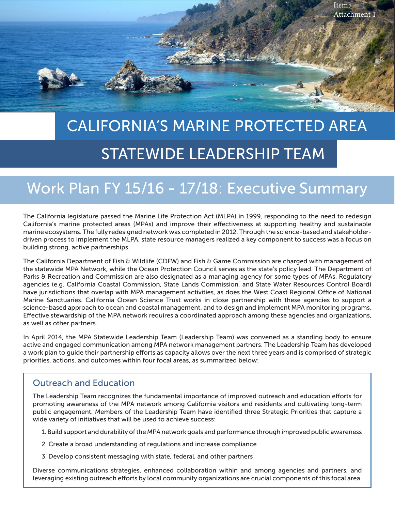

# CALIFORNIA'S MARINE PROTECTED AREA STATEWIDE LEADERSHIP TEAM

# Work Plan FY 15/16 - 17/18: Executive Summary

The California legislature passed the Marine Life Protection Act (MLPA) in 1999, responding to the need to redesign California's marine protected areas (MPAs) and improve their effectiveness at supporting healthy and sustainable marine ecosystems. The fully redesigned network was completed in 2012. Through the science-based and stakeholderdriven process to implement the MLPA, state resource managers realized a key component to success was a focus on building strong, active partnerships.

The California Department of Fish & Wildlife (CDFW) and Fish & Game Commission are charged with management of the statewide MPA Network, while the Ocean Protection Council serves as the state's policy lead. The Department of Parks & Recreation and Commission are also designated as a managing agency for some types of MPAs. Regulatory agencies (e.g. California Coastal Commission, State Lands Commission, and State Water Resources Control Board) have jurisdictions that overlap with MPA management activities, as does the West Coast Regional Office of National Marine Sanctuaries. California Ocean Science Trust works in close partnership with these agencies to support a science-based approach to ocean and coastal management, and to design and implement MPA monitoring programs. Effective stewardship of the MPA network requires a coordinated approach among these agencies and organizations, as well as other partners.

In April 2014, the MPA Statewide Leadership Team (Leadership Team) was convened as a standing body to ensure active and engaged communication among MPA network management partners. The Leadership Team has developed a work plan to guide their partnership efforts as capacity allows over the next three years and is comprised of strategic priorities, actions, and outcomes within four focal areas, as summarized below:

#### Outreach and Education

The Leadership Team recognizes the fundamental importance of improved outreach and education efforts for promoting awareness of the MPA network among California visitors and residents and cultivating long-term public engagement. Members of the Leadership Team have identified three Strategic Priorities that capture a wide variety of initiatives that will be used to achieve success:

1. Build support and durability of the MPA network goals and performance through improved public awareness

- 2. Create a broad understanding of regulations and increase compliance
- 3. Develop consistent messaging with state, federal, and other partners

Diverse communications strategies, enhanced collaboration within and among agencies and partners, and leveraging existing outreach efforts by local community organizations are crucial components of this focal area.